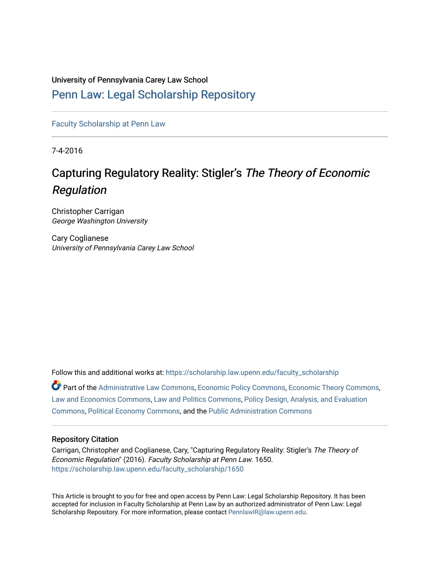## University of Pennsylvania Carey Law School

## [Penn Law: Legal Scholarship Repository](https://scholarship.law.upenn.edu/)

[Faculty Scholarship at Penn Law](https://scholarship.law.upenn.edu/faculty_scholarship)

7-4-2016

# Capturing Regulatory Reality: Stigler's The Theory of Economic Regulation

Christopher Carrigan George Washington University

Cary Coglianese University of Pennsylvania Carey Law School

Follow this and additional works at: [https://scholarship.law.upenn.edu/faculty\\_scholarship](https://scholarship.law.upenn.edu/faculty_scholarship?utm_source=scholarship.law.upenn.edu%2Ffaculty_scholarship%2F1650&utm_medium=PDF&utm_campaign=PDFCoverPages)  Part of the [Administrative Law Commons,](http://network.bepress.com/hgg/discipline/579?utm_source=scholarship.law.upenn.edu%2Ffaculty_scholarship%2F1650&utm_medium=PDF&utm_campaign=PDFCoverPages) [Economic Policy Commons](http://network.bepress.com/hgg/discipline/1025?utm_source=scholarship.law.upenn.edu%2Ffaculty_scholarship%2F1650&utm_medium=PDF&utm_campaign=PDFCoverPages), [Economic Theory Commons,](http://network.bepress.com/hgg/discipline/344?utm_source=scholarship.law.upenn.edu%2Ffaculty_scholarship%2F1650&utm_medium=PDF&utm_campaign=PDFCoverPages) [Law and Economics Commons,](http://network.bepress.com/hgg/discipline/612?utm_source=scholarship.law.upenn.edu%2Ffaculty_scholarship%2F1650&utm_medium=PDF&utm_campaign=PDFCoverPages) [Law and Politics Commons,](http://network.bepress.com/hgg/discipline/867?utm_source=scholarship.law.upenn.edu%2Ffaculty_scholarship%2F1650&utm_medium=PDF&utm_campaign=PDFCoverPages) [Policy Design, Analysis, and Evaluation](http://network.bepress.com/hgg/discipline/1032?utm_source=scholarship.law.upenn.edu%2Ffaculty_scholarship%2F1650&utm_medium=PDF&utm_campaign=PDFCoverPages) [Commons](http://network.bepress.com/hgg/discipline/1032?utm_source=scholarship.law.upenn.edu%2Ffaculty_scholarship%2F1650&utm_medium=PDF&utm_campaign=PDFCoverPages), [Political Economy Commons](http://network.bepress.com/hgg/discipline/352?utm_source=scholarship.law.upenn.edu%2Ffaculty_scholarship%2F1650&utm_medium=PDF&utm_campaign=PDFCoverPages), and the [Public Administration Commons](http://network.bepress.com/hgg/discipline/398?utm_source=scholarship.law.upenn.edu%2Ffaculty_scholarship%2F1650&utm_medium=PDF&utm_campaign=PDFCoverPages)

## Repository Citation

Carrigan, Christopher and Coglianese, Cary, "Capturing Regulatory Reality: Stigler's The Theory of Economic Regulation" (2016). Faculty Scholarship at Penn Law. 1650. [https://scholarship.law.upenn.edu/faculty\\_scholarship/1650](https://scholarship.law.upenn.edu/faculty_scholarship/1650?utm_source=scholarship.law.upenn.edu%2Ffaculty_scholarship%2F1650&utm_medium=PDF&utm_campaign=PDFCoverPages)

This Article is brought to you for free and open access by Penn Law: Legal Scholarship Repository. It has been accepted for inclusion in Faculty Scholarship at Penn Law by an authorized administrator of Penn Law: Legal Scholarship Repository. For more information, please contact [PennlawIR@law.upenn.edu.](mailto:PennlawIR@law.upenn.edu)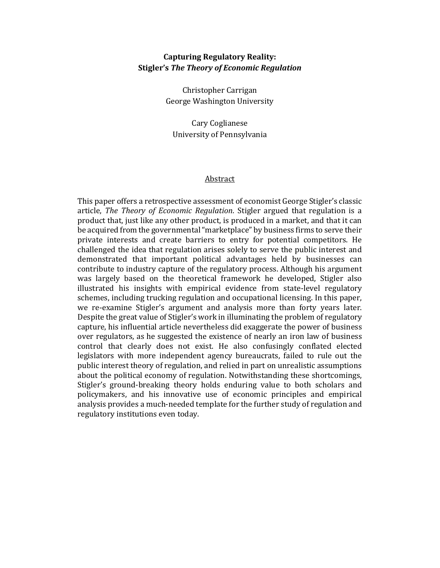## **Capturing Regulatory Reality: Stigler's** *The Theory of Economic Regulation*

Christopher Carrigan George Washington University

Cary Coglianese University of Pennsylvania

#### Abstract

This paper offers a retrospective assessment of economist George Stigler's classic article, *The Theory of Economic Regulation*. Stigler argued that regulation is a product that, just like any other product, is produced in a market, and that it can be acquired from the governmental "marketplace" by business firms to serve their private interests and create barriers to entry for potential competitors. He challenged the idea that regulation arises solely to serve the public interest and demonstrated that important political advantages held by businesses can contribute to industry capture of the regulatory process. Although his argument was largely based on the theoretical framework he developed, Stigler also illustrated his insights with empirical evidence from state-level regulatory schemes, including trucking regulation and occupational licensing. In this paper, we re-examine Stigler's argument and analysis more than forty years later. Despite the great value of Stigler's work in illuminating the problem of regulatory capture, his influential article nevertheless did exaggerate the power of business over regulators, as he suggested the existence of nearly an iron law of business control that clearly does not exist. He also confusingly conflated elected legislators with more independent agency bureaucrats, failed to rule out the public interest theory of regulation, and relied in part on unrealistic assumptions about the political economy of regulation. Notwithstanding these shortcomings, Stigler's ground-breaking theory holds enduring value to both scholars and policymakers, and his innovative use of economic principles and empirical analysis provides a much-needed template for the further study of regulation and regulatory institutions even today.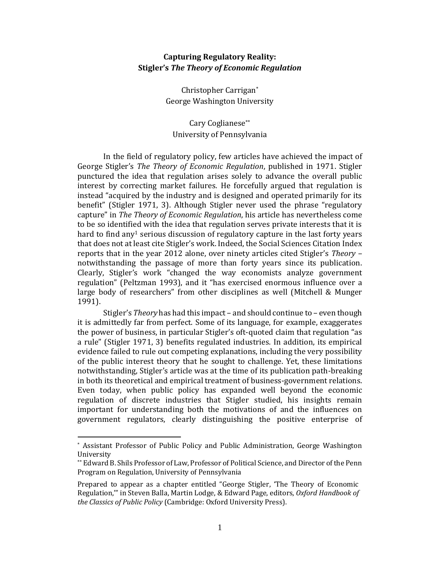## **Capturing Regulatory Reality: Stigler's** *The Theory of Economic Regulation*

Christopher Carrigan\* George Washington University

Cary Coglianese\*\* University of Pennsylvania

In the field of regulatory policy, few articles have achieved the impact of George Stigler's *The Theory of Economic Regulation*, published in 1971. Stigler punctured the idea that regulation arises solely to advance the overall public interest by correcting market failures. He forcefully argued that regulation is instead "acquired by the industry and is designed and operated primarily for its benefit" (Stigler 1971, 3). Although Stigler never used the phrase "regulatory capture" in *The Theory of Economic Regulation*, his article has nevertheless come to be so identified with the idea that regulation serves private interests that it is hard to find any<sup>1</sup> serious discussion of regulatory capture in the last forty years that does not at least cite Stigler's work. Indeed, the Social Sciences Citation Index reports that in the year 2012 alone, over ninety articles cited Stigler's *Theory* – notwithstanding the passage of more than forty years since its publication. Clearly, Stigler's work "changed the way economists analyze government regulation" (Peltzman 1993), and it "has exercised enormous influence over a large body of researchers" from other disciplines as well (Mitchell & Munger 1991).

Stigler's *Theory* has had this impact – and should continue to – even though it is admittedly far from perfect. Some of its language, for example, exaggerates the power of business, in particular Stigler's oft-quoted claim that regulation "as a rule" (Stigler 1971, 3) benefits regulated industries. In addition, its empirical evidence failed to rule out competing explanations, including the very possibility of the public interest theory that he sought to challenge. Yet, these limitations notwithstanding, Stigler's article was at the time of its publication path-breaking in both its theoretical and empirical treatment of business-government relations. Even today, when public policy has expanded well beyond the economic regulation of discrete industries that Stigler studied, his insights remain important for understanding both the motivations of and the influences on government regulators, clearly distinguishing the positive enterprise of

 $\overline{\phantom{a}}$ 

<sup>\*</sup> Assistant Professor of Public Policy and Public Administration, George Washington University

<sup>\*\*</sup> Edward B. Shils Professor of Law, Professor of Political Science, and Director of the Penn Program on Regulation, University of Pennsylvania

Prepared to appear as a chapter entitled "George Stigler, 'The Theory of Economic Regulation,'" in Steven Balla, Martin Lodge, & Edward Page, editors, *Oxford Handbook of the Classics of Public Policy* (Cambridge: Oxford University Press).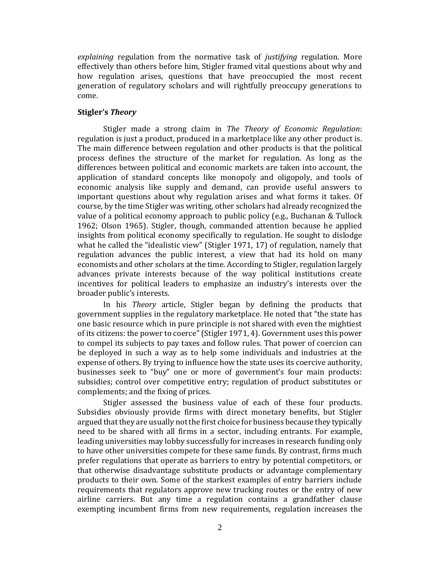*explaining* regulation from the normative task of *justifying* regulation. More effectively than others before him, Stigler framed vital questions about why and how regulation arises, questions that have preoccupied the most recent generation of regulatory scholars and will rightfully preoccupy generations to come.

#### **Stigler's** *Theory*

Stigler made a strong claim in *The Theory of Economic Regulation*: regulation is just a product, produced in a marketplace like any other product is. The main difference between regulation and other products is that the political process defines the structure of the market for regulation. As long as the differences between political and economic markets are taken into account, the application of standard concepts like monopoly and oligopoly, and tools of economic analysis like supply and demand, can provide useful answers to important questions about why regulation arises and what forms it takes. Of course, by the time Stigler was writing, other scholars had already recognized the value of a political economy approach to public policy (e.g., Buchanan & Tullock 1962; Olson 1965). Stigler, though, commanded attention because he applied insights from political economy specifically to regulation. He sought to dislodge what he called the "idealistic view" (Stigler 1971, 17) of regulation, namely that regulation advances the public interest, a view that had its hold on many economists and other scholars at the time. According to Stigler, regulation largely advances private interests because of the way political institutions create incentives for political leaders to emphasize an industry's interests over the broader public's interests.

In his *Theory* article, Stigler began by defining the products that government supplies in the regulatory marketplace. He noted that "the state has one basic resource which in pure principle is not shared with even the mightiest of its citizens: the power to coerce" (Stigler 1971, 4). Government uses this power to compel its subjects to pay taxes and follow rules. That power of coercion can be deployed in such a way as to help some individuals and industries at the expense of others. By trying to influence how the state uses its coercive authority, businesses seek to "buy" one or more of government's four main products: subsidies; control over competitive entry; regulation of product substitutes or complements; and the fixing of prices.

Stigler assessed the business value of each of these four products. Subsidies obviously provide firms with direct monetary benefits, but Stigler argued that they are usually not the first choice for business because they typically need to be shared with all firms in a sector, including entrants. For example, leading universities may lobby successfully for increases in research funding only to have other universities compete for these same funds. By contrast, firms much prefer regulations that operate as barriers to entry by potential competitors, or that otherwise disadvantage substitute products or advantage complementary products to their own. Some of the starkest examples of entry barriers include requirements that regulators approve new trucking routes or the entry of new airline carriers. But any time a regulation contains a grandfather clause exempting incumbent firms from new requirements, regulation increases the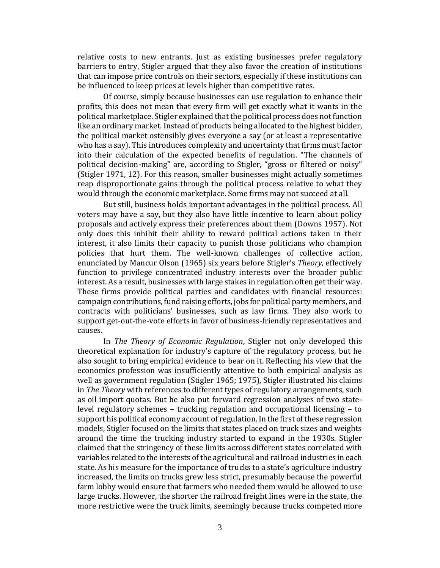relative costs to new entrants. Just as existing businesses prefer regulatory barriers to entry, Stigler argued that they also favor the creation of institutions that can impose price controls on their sectors, especially if these institutions can be influenced to keep prices at levels higher than competitive rates.

Of course, simply because businesses can use regulation to enhance their profits, this does not mean that every firm will get exactly what it wants in the political marketplace. Stigler explained that the political process does not function like an ordinary market. Instead of products being allocated to the highest bidder, the political market ostensibly gives everyone a say (or at least a representative who has a say). This introduces complexity and uncertainty that firms must factor into their calculation of the expected benefits of regulation. "The channels of political decision-making" are, according to Stigler, "gross or filtered or noisy" (Stigler 1971, 12). For this reason, smaller businesses might actually sometimes reap disproportionate gains through the political process relative to what they would through the economic marketplace. Some firms may not succeed at all.

But still, business holds important advantages in the political process. All voters may have a say, but they also have little incentive to learn about policy proposals and actively express their preferences about them (Downs 1957). Not only does this inhibit their ability to reward political actions taken in their interest, it also limits their capacity to punish those politicians who champion policies that hurt them. The well-known challenges of collective action, enunciated by Mancur Olson (1965) six years before Stigler's *Theory*, effectively function to privilege concentrated industry interests over the broader public interest. As a result, businesses with large stakes in regulation often get their way. These firms provide political parties and candidates with financial resources: campaign contributions, fund raising efforts, jobs for political party members, and contracts with politicians' businesses, such as law firms. They also work to support get-out-the-vote efforts in favor of business-friendly representatives and causes.

In *The Theory of Economic Regulation*, Stigler not only developed this theoretical explanation for industry's capture of the regulatory process, but he also sought to bring empirical evidence to bear on it. Reflecting his view that the economics profession was insufficiently attentive to both empirical analysis as well as government regulation (Stigler 1965; 1975), Stigler illustrated his claims in *The Theory* with references to different types of regulatory arrangements, such as oil import quotas. But he also put forward regression analyses of two statelevel regulatory schemes – trucking regulation and occupational licensing – to support his political economy account of regulation. In the first of these regression models, Stigler focused on the limits that states placed on truck sizes and weights around the time the trucking industry started to expand in the 1930s. Stigler claimed that the stringency of these limits across different states correlated with variables related to the interests of the agricultural and railroad industries in each state. As his measure for the importance of trucks to a state's agriculture industry increased, the limits on trucks grew less strict, presumably because the powerful farm lobby would ensure that farmers who needed them would be allowed to use large trucks. However, the shorter the railroad freight lines were in the state, the more restrictive were the truck limits, seemingly because trucks competed more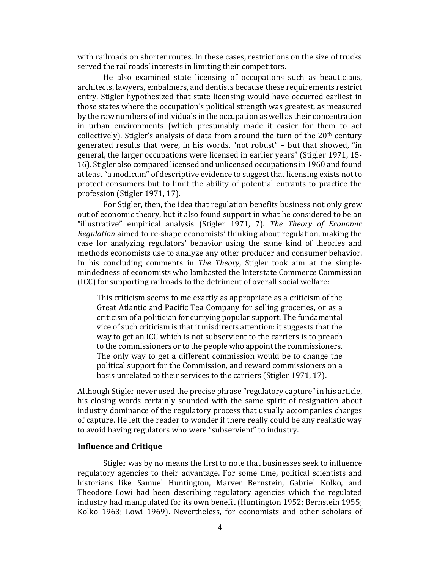with railroads on shorter routes. In these cases, restrictions on the size of trucks served the railroads' interests in limiting their competitors.

He also examined state licensing of occupations such as beauticians, architects, lawyers, embalmers, and dentists because these requirements restrict entry. Stigler hypothesized that state licensing would have occurred earliest in those states where the occupation's political strength was greatest, as measured by the raw numbers of individuals in the occupation as well as their concentration in urban environments (which presumably made it easier for them to act collectively). Stigler's analysis of data from around the turn of the  $20<sup>th</sup>$  century generated results that were, in his words, "not robust" – but that showed, "in general, the larger occupations were licensed in earlier years" (Stigler 1971, 15- 16). Stigler also compared licensed and unlicensed occupations in 1960 and found at least "a modicum" of descriptive evidence to suggest that licensing exists not to protect consumers but to limit the ability of potential entrants to practice the profession (Stigler 1971, 17).

For Stigler, then, the idea that regulation benefits business not only grew out of economic theory, but it also found support in what he considered to be an "illustrative" empirical analysis (Stigler 1971, 7). *The Theory of Economic Regulation* aimed to re-shape economists' thinking about regulation, making the case for analyzing regulators' behavior using the same kind of theories and methods economists use to analyze any other producer and consumer behavior. In his concluding comments in *The Theory*, Stigler took aim at the simplemindedness of economists who lambasted the Interstate Commerce Commission (ICC) for supporting railroads to the detriment of overall social welfare:

This criticism seems to me exactly as appropriate as a criticism of the Great Atlantic and Pacific Tea Company for selling groceries, or as a criticism of a politician for currying popular support. The fundamental vice of such criticism is that it misdirects attention: it suggests that the way to get an ICC which is not subservient to the carriers is to preach to the commissioners or to the people who appoint the commissioners. The only way to get a different commission would be to change the political support for the Commission, and reward commissioners on a basis unrelated to their services to the carriers (Stigler 1971, 17).

Although Stigler never used the precise phrase "regulatory capture" in his article, his closing words certainly sounded with the same spirit of resignation about industry dominance of the regulatory process that usually accompanies charges of capture. He left the reader to wonder if there really could be any realistic way to avoid having regulators who were "subservient" to industry.

#### **Influence and Critique**

Stigler was by no means the first to note that businesses seek to influence regulatory agencies to their advantage. For some time, political scientists and historians like Samuel Huntington, Marver Bernstein, Gabriel Kolko, and Theodore Lowi had been describing regulatory agencies which the regulated industry had manipulated for its own benefit (Huntington 1952; Bernstein 1955; Kolko 1963; Lowi 1969). Nevertheless, for economists and other scholars of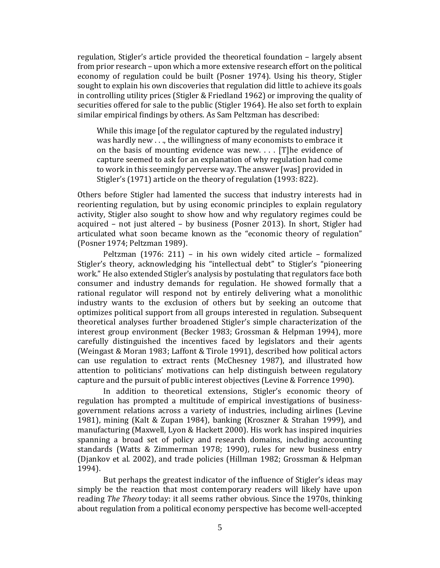regulation, Stigler's article provided the theoretical foundation – largely absent from prior research – upon which a more extensive research effort on the political economy of regulation could be built (Posner 1974). Using his theory, Stigler sought to explain his own discoveries that regulation did little to achieve its goals in controlling utility prices (Stigler & Friedland 1962) or improving the quality of securities offered for sale to the public (Stigler 1964). He also set forth to explain similar empirical findings by others. As Sam Peltzman has described:

While this image [of the regulator captured by the regulated industry] was hardly new . . ., the willingness of many economists to embrace it on the basis of mounting evidence was new. . . . [T]he evidence of capture seemed to ask for an explanation of why regulation had come to work in this seemingly perverse way. The answer [was] provided in Stigler's (1971) article on the theory of regulation (1993: 822).

Others before Stigler had lamented the success that industry interests had in reorienting regulation, but by using economic principles to explain regulatory activity, Stigler also sought to show how and why regulatory regimes could be acquired – not just altered – by business (Posner 2013). In short, Stigler had articulated what soon became known as the "economic theory of regulation" (Posner 1974; Peltzman 1989).

Peltzman (1976: 211) – in his own widely cited article – formalized Stigler's theory, acknowledging his "intellectual debt" to Stigler's "pioneering work." He also extended Stigler's analysis by postulating that regulators face both consumer and industry demands for regulation. He showed formally that a rational regulator will respond not by entirely delivering what a monolithic industry wants to the exclusion of others but by seeking an outcome that optimizes political support from all groups interested in regulation. Subsequent theoretical analyses further broadened Stigler's simple characterization of the interest group environment (Becker 1983; Grossman & Helpman 1994), more carefully distinguished the incentives faced by legislators and their agents (Weingast & Moran 1983; Laffont & Tirole 1991), described how political actors can use regulation to extract rents (McChesney 1987), and illustrated how attention to politicians' motivations can help distinguish between regulatory capture and the pursuit of public interest objectives (Levine & Forrence 1990).

In addition to theoretical extensions, Stigler's economic theory of regulation has prompted a multitude of empirical investigations of businessgovernment relations across a variety of industries, including airlines (Levine 1981), mining (Kalt & Zupan 1984), banking (Kroszner & Strahan 1999), and manufacturing (Maxwell, Lyon & Hackett 2000). His work has inspired inquiries spanning a broad set of policy and research domains, including accounting standards (Watts & Zimmerman 1978; 1990), rules for new business entry (Djankov et al. 2002), and trade policies (Hillman 1982; Grossman & Helpman 1994).

But perhaps the greatest indicator of the influence of Stigler's ideas may simply be the reaction that most contemporary readers will likely have upon reading *The Theory* today: it all seems rather obvious. Since the 1970s, thinking about regulation from a political economy perspective has become well-accepted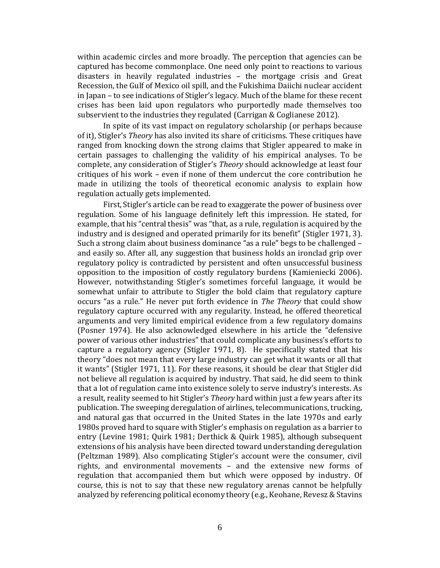within academic circles and more broadly. The perception that agencies can be captured has become commonplace. One need only point to reactions to various disasters in heavily regulated industries – the mortgage crisis and Great Recession, the Gulf of Mexico oil spill, and the Fukishima Daiichi nuclear accident in Japan – to see indications of Stigler's legacy. Much of the blame for these recent crises has been laid upon regulators who purportedly made themselves too subservient to the industries they regulated (Carrigan & Coglianese 2012).

In spite of its vast impact on regulatory scholarship (or perhaps because of it), Stigler's *Theory* has also invited its share of criticisms. These critiques have ranged from knocking down the strong claims that Stigler appeared to make in certain passages to challenging the validity of his empirical analyses. To be complete, any consideration of Stigler's *Theory* should acknowledge at least four critiques of his work – even if none of them undercut the core contribution he made in utilizing the tools of theoretical economic analysis to explain how regulation actually gets implemented.

First, Stigler's article can be read to exaggerate the power of business over regulation. Some of his language definitely left this impression. He stated, for example, that his "central thesis" was "that, as a rule, regulation is acquired by the industry and is designed and operated primarily for its benefit" (Stigler 1971, 3). Such a strong claim about business dominance "as a rule" begs to be challenged – and easily so. After all, any suggestion that business holds an ironclad grip over regulatory policy is contradicted by persistent and often unsuccessful business opposition to the imposition of costly regulatory burdens (Kamieniecki 2006). However, notwithstanding Stigler's sometimes forceful language, it would be somewhat unfair to attribute to Stigler the bold claim that regulatory capture occurs "as a rule." He never put forth evidence in *The Theory* that could show regulatory capture occurred with any regularity. Instead, he offered theoretical arguments and very limited empirical evidence from a few regulatory domains (Posner 1974). He also acknowledged elsewhere in his article the "defensive power of various other industries" that could complicate any business's efforts to capture a regulatory agency (Stigler 1971, 8). He specifically stated that his theory "does not mean that every large industry can get what it wants or all that it wants" (Stigler 1971, 11). For these reasons, it should be clear that Stigler did not believe all regulation is acquired by industry. That said, he did seem to think that a lot of regulation came into existence solely to serve industry's interests. As a result, reality seemed to hit Stigler's *Theory* hard within just a few years after its publication. The sweeping deregulation of airlines, telecommunications, trucking, and natural gas that occurred in the United States in the late 1970s and early 1980s proved hard to square with Stigler's emphasis on regulation as a barrier to entry (Levine 1981; Quirk 1981; Derthick & Quirk 1985), although subsequent extensions of his analysis have been directed toward understanding deregulation (Peltzman 1989). Also complicating Stigler's account were the consumer, civil rights, and environmental movements – and the extensive new forms of regulation that accompanied them but which were opposed by industry. Of course, this is not to say that these new regulatory arenas cannot be helpfully analyzed by referencing political economy theory (e.g., Keohane, Revesz & Stavins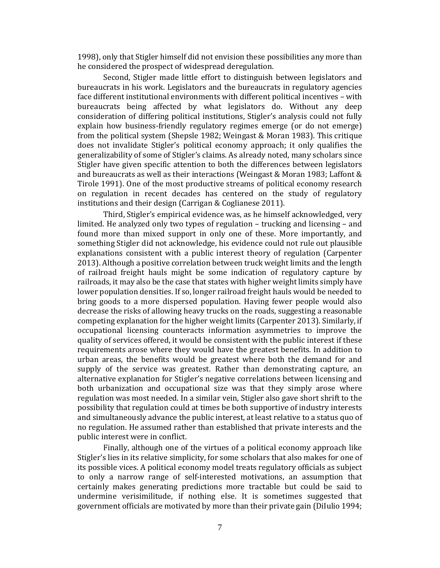1998), only that Stigler himself did not envision these possibilities any more than he considered the prospect of widespread deregulation.

Second, Stigler made little effort to distinguish between legislators and bureaucrats in his work. Legislators and the bureaucrats in regulatory agencies face different institutional environments with different political incentives – with bureaucrats being affected by what legislators do. Without any deep consideration of differing political institutions, Stigler's analysis could not fully explain how business-friendly regulatory regimes emerge (or do not emerge) from the political system (Shepsle 1982; Weingast & Moran 1983). This critique does not invalidate Stigler's political economy approach; it only qualifies the generalizability of some of Stigler's claims. As already noted, many scholars since Stigler have given specific attention to both the differences between legislators and bureaucrats as well as their interactions (Weingast & Moran 1983; Laffont & Tirole 1991). One of the most productive streams of political economy research on regulation in recent decades has centered on the study of regulatory institutions and their design (Carrigan & Coglianese 2011).

Third, Stigler's empirical evidence was, as he himself acknowledged, very limited. He analyzed only two types of regulation – trucking and licensing – and found more than mixed support in only one of these. More importantly, and something Stigler did not acknowledge, his evidence could not rule out plausible explanations consistent with a public interest theory of regulation (Carpenter 2013). Although a positive correlation between truck weight limits and the length of railroad freight hauls might be some indication of regulatory capture by railroads, it may also be the case that states with higher weight limits simply have lower population densities. If so, longer railroad freight hauls would be needed to bring goods to a more dispersed population. Having fewer people would also decrease the risks of allowing heavy trucks on the roads, suggesting a reasonable competing explanation for the higher weight limits (Carpenter 2013). Similarly, if occupational licensing counteracts information asymmetries to improve the quality of services offered, it would be consistent with the public interest if these requirements arose where they would have the greatest benefits. In addition to urban areas, the benefits would be greatest where both the demand for and supply of the service was greatest. Rather than demonstrating capture, an alternative explanation for Stigler's negative correlations between licensing and both urbanization and occupational size was that they simply arose where regulation was most needed. In a similar vein, Stigler also gave short shrift to the possibility that regulation could at times be both supportive of industry interests and simultaneously advance the public interest, at least relative to a status quo of no regulation. He assumed rather than established that private interests and the public interest were in conflict.

Finally, although one of the virtues of a political economy approach like Stigler's lies in its relative simplicity, for some scholars that also makes for one of its possible vices. A political economy model treats regulatory officials as subject to only a narrow range of self-interested motivations, an assumption that certainly makes generating predictions more tractable but could be said to undermine verisimilitude, if nothing else. It is sometimes suggested that government officials are motivated by more than their private gain (DiIulio 1994;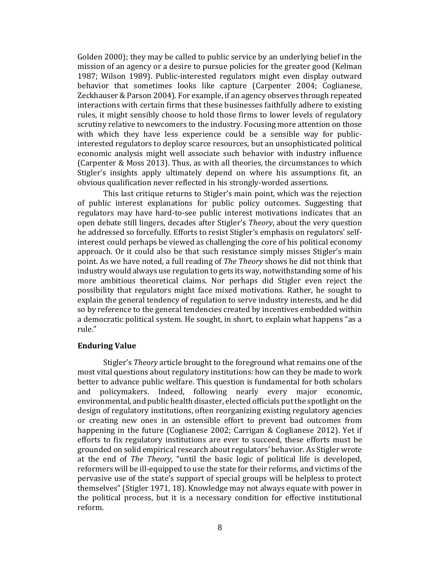Golden 2000); they may be called to public service by an underlying belief in the mission of an agency or a desire to pursue policies for the greater good (Kelman 1987; Wilson 1989). Public-interested regulators might even display outward behavior that sometimes looks like capture (Carpenter 2004; Coglianese, Zeckhauser & Parson 2004). For example, if an agency observes through repeated interactions with certain firms that these businesses faithfully adhere to existing rules, it might sensibly choose to hold those firms to lower levels of regulatory scrutiny relative to newcomers to the industry. Focusing more attention on those with which they have less experience could be a sensible way for publicinterested regulators to deploy scarce resources, but an unsophisticated political economic analysis might well associate such behavior with industry influence (Carpenter & Moss 2013). Thus, as with all theories, the circumstances to which Stigler's insights apply ultimately depend on where his assumptions fit, an obvious qualification never reflected in his strongly-worded assertions.

This last critique returns to Stigler's main point, which was the rejection of public interest explanations for public policy outcomes. Suggesting that regulators may have hard-to-see public interest motivations indicates that an open debate still lingers, decades after Stigler's *Theory*, about the very question he addressed so forcefully. Efforts to resist Stigler's emphasis on regulators' selfinterest could perhaps be viewed as challenging the core of his political economy approach. Or it could also be that such resistance simply misses Stigler's main point. As we have noted, a full reading of *The Theory* shows he did not think that industry would always use regulation to gets its way, notwithstanding some of his more ambitious theoretical claims. Nor perhaps did Stigler even reject the possibility that regulators might face mixed motivations. Rather, he sought to explain the general tendency of regulation to serve industry interests, and he did so by reference to the general tendencies created by incentives embedded within a democratic political system. He sought, in short, to explain what happens "as a rule."

## **Enduring Value**

Stigler's *Theory* article brought to the foreground what remains one of the most vital questions about regulatory institutions: how can they be made to work better to advance public welfare. This question is fundamental for both scholars and policymakers. Indeed, following nearly every major economic, environmental, and public health disaster, elected officials put the spotlight on the design of regulatory institutions, often reorganizing existing regulatory agencies or creating new ones in an ostensible effort to prevent bad outcomes from happening in the future (Coglianese 2002; Carrigan & Coglianese 2012). Yet if efforts to fix regulatory institutions are ever to succeed, these efforts must be grounded on solid empirical research about regulators' behavior. As Stigler wrote at the end of *The Theory*, "until the basic logic of political life is developed, reformers will be ill-equipped to use the state for their reforms, and victims of the pervasive use of the state's support of special groups will be helpless to protect themselves" (Stigler 1971, 18). Knowledge may not always equate with power in the political process, but it is a necessary condition for effective institutional reform.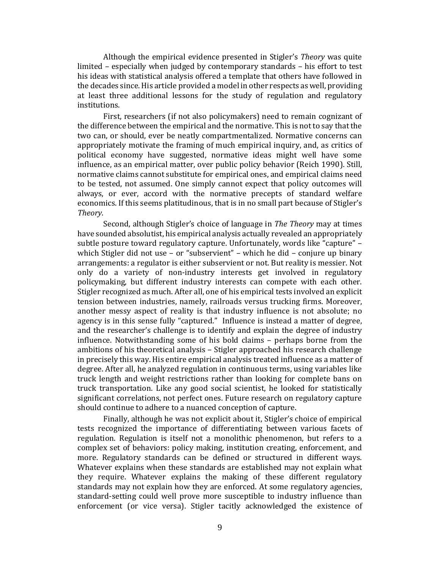Although the empirical evidence presented in Stigler's *Theory* was quite limited – especially when judged by contemporary standards – his effort to test his ideas with statistical analysis offered a template that others have followed in the decades since. His article provided a model in other respects as well, providing at least three additional lessons for the study of regulation and regulatory institutions.

First, researchers (if not also policymakers) need to remain cognizant of the difference between the empirical and the normative. This is not to say that the two can, or should, ever be neatly compartmentalized. Normative concerns can appropriately motivate the framing of much empirical inquiry, and, as critics of political economy have suggested, normative ideas might well have some influence, as an empirical matter, over public policy behavior (Reich 1990). Still, normative claims cannot substitute for empirical ones, and empirical claims need to be tested, not assumed. One simply cannot expect that policy outcomes will always, or ever, accord with the normative precepts of standard welfare economics. If this seems platitudinous, that is in no small part because of Stigler's *Theory*.

Second, although Stigler's choice of language in *The Theory* may at times have sounded absolutist, his empirical analysis actually revealed an appropriately subtle posture toward regulatory capture. Unfortunately, words like "capture" – which Stigler did not use – or "subservient" – which he did – conjure up binary arrangements: a regulator is either subservient or not. But reality is messier. Not only do a variety of non-industry interests get involved in regulatory policymaking, but different industry interests can compete with each other. Stigler recognized as much. After all, one of his empirical tests involved an explicit tension between industries, namely, railroads versus trucking firms. Moreover, another messy aspect of reality is that industry influence is not absolute; no agency is in this sense fully "captured." Influence is instead a matter of degree, and the researcher's challenge is to identify and explain the degree of industry influence. Notwithstanding some of his bold claims – perhaps borne from the ambitions of his theoretical analysis – Stigler approached his research challenge in precisely this way. His entire empirical analysis treated influence as a matter of degree. After all, he analyzed regulation in continuous terms, using variables like truck length and weight restrictions rather than looking for complete bans on truck transportation. Like any good social scientist, he looked for statistically significant correlations, not perfect ones. Future research on regulatory capture should continue to adhere to a nuanced conception of capture.

Finally, although he was not explicit about it, Stigler's choice of empirical tests recognized the importance of differentiating between various facets of regulation. Regulation is itself not a monolithic phenomenon, but refers to a complex set of behaviors: policy making, institution creating, enforcement, and more. Regulatory standards can be defined or structured in different ways. Whatever explains when these standards are established may not explain what they require. Whatever explains the making of these different regulatory standards may not explain how they are enforced. At some regulatory agencies, standard-setting could well prove more susceptible to industry influence than enforcement (or vice versa). Stigler tacitly acknowledged the existence of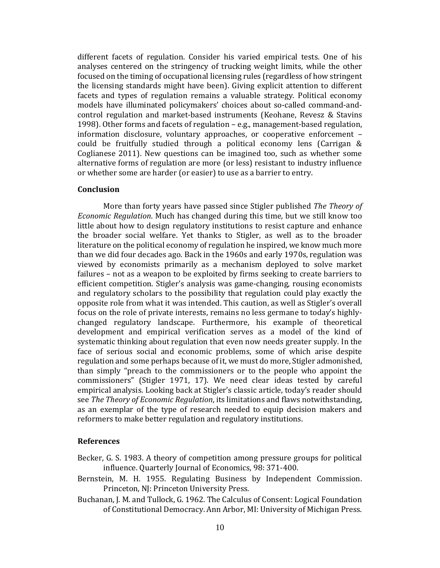different facets of regulation. Consider his varied empirical tests. One of his analyses centered on the stringency of trucking weight limits, while the other focused on the timing of occupational licensing rules (regardless of how stringent the licensing standards might have been). Giving explicit attention to different facets and types of regulation remains a valuable strategy. Political economy models have illuminated policymakers' choices about so-called command-andcontrol regulation and market-based instruments (Keohane, Revesz & Stavins 1998). Other forms and facets of regulation – e.g., management-based regulation, information disclosure, voluntary approaches, or cooperative enforcement – could be fruitfully studied through a political economy lens (Carrigan & Coglianese 2011). New questions can be imagined too, such as whether some alternative forms of regulation are more (or less) resistant to industry influence or whether some are harder (or easier) to use as a barrier to entry.

#### **Conclusion**

More than forty years have passed since Stigler published *The Theory of Economic Regulation*. Much has changed during this time, but we still know too little about how to design regulatory institutions to resist capture and enhance the broader social welfare. Yet thanks to Stigler, as well as to the broader literature on the political economy of regulation he inspired, we know much more than we did four decades ago. Back in the 1960s and early 1970s, regulation was viewed by economists primarily as a mechanism deployed to solve market failures – not as a weapon to be exploited by firms seeking to create barriers to efficient competition. Stigler's analysis was game-changing, rousing economists and regulatory scholars to the possibility that regulation could play exactly the opposite role from what it was intended. This caution, as well as Stigler's overall focus on the role of private interests, remains no less germane to today's highlychanged regulatory landscape. Furthermore, his example of theoretical development and empirical verification serves as a model of the kind of systematic thinking about regulation that even now needs greater supply. In the face of serious social and economic problems, some of which arise despite regulation and some perhaps because of it, we must do more, Stigler admonished, than simply "preach to the commissioners or to the people who appoint the commissioners" (Stigler 1971, 17). We need clear ideas tested by careful empirical analysis. Looking back at Stigler's classic article, today's reader should see *The Theory of Economic Regulation*, its limitations and flaws notwithstanding, as an exemplar of the type of research needed to equip decision makers and reformers to make better regulation and regulatory institutions.

#### **References**

- Becker, G. S. 1983. A theory of competition among pressure groups for political influence. Quarterly Journal of Economics, 98: 371-400.
- Bernstein, M. H. 1955. Regulating Business by Independent Commission. Princeton, NJ: Princeton University Press.
- Buchanan, J. M. and Tullock, G. 1962. The Calculus of Consent: Logical Foundation of Constitutional Democracy. Ann Arbor, MI: University of Michigan Press.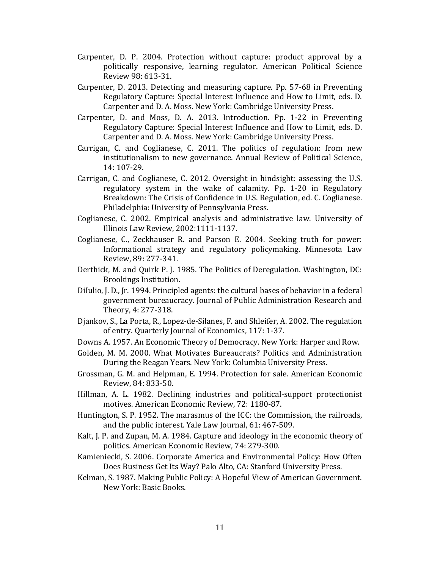- Carpenter, D. P. 2004. Protection without capture: product approval by a politically responsive, learning regulator. American Political Science Review 98: 613-31.
- Carpenter, D. 2013. Detecting and measuring capture. Pp. 57-68 in Preventing Regulatory Capture: Special Interest Influence and How to Limit, eds. D. Carpenter and D. A. Moss. New York: Cambridge University Press.
- Carpenter, D. and Moss, D. A. 2013. Introduction. Pp. 1-22 in Preventing Regulatory Capture: Special Interest Influence and How to Limit, eds. D. Carpenter and D. A. Moss. New York: Cambridge University Press.
- Carrigan, C. and Coglianese, C. 2011. The politics of regulation: from new institutionalism to new governance. Annual Review of Political Science, 14: 107-29.
- Carrigan, C. and Coglianese, C. 2012. Oversight in hindsight: assessing the U.S. regulatory system in the wake of calamity. Pp. 1-20 in Regulatory Breakdown: The Crisis of Confidence in U.S. Regulation, ed. C. Coglianese. Philadelphia: University of Pennsylvania Press.
- Coglianese, C. 2002. Empirical analysis and administrative law. University of Illinois Law Review, 2002:1111-1137.
- Coglianese, C., Zeckhauser R. and Parson E. 2004. Seeking truth for power: Informational strategy and regulatory policymaking. Minnesota Law Review, 89: 277-341.
- Derthick, M. and Quirk P. J. 1985. The Politics of Deregulation. Washington, DC: Brookings Institution.
- DiIulio, J. D., Jr. 1994. Principled agents: the cultural bases of behavior in a federal government bureaucracy. Journal of Public Administration Research and Theory, 4: 277-318.
- Djankov, S., La Porta, R., Lopez-de-Silanes, F. and Shleifer, A. 2002. The regulation of entry. Quarterly Journal of Economics, 117: 1-37.
- Downs A. 1957. An Economic Theory of Democracy. New York: Harper and Row.
- Golden, M. M. 2000. What Motivates Bureaucrats? Politics and Administration During the Reagan Years. New York: Columbia University Press.
- Grossman, G. M. and Helpman, E. 1994. Protection for sale. American Economic Review, 84: 833-50.
- Hillman, A. L. 1982. Declining industries and political-support protectionist motives. American Economic Review, 72: 1180-87.
- Huntington, S. P. 1952. The marasmus of the ICC: the Commission, the railroads, and the public interest. Yale Law Journal, 61: 467-509.
- Kalt, J. P. and Zupan, M. A. 1984. Capture and ideology in the economic theory of politics. American Economic Review, 74: 279-300.
- Kamieniecki, S. 2006. Corporate America and Environmental Policy: How Often Does Business Get Its Way? Palo Alto, CA: Stanford University Press.
- Kelman, S. 1987. Making Public Policy: A Hopeful View of American Government. New York: Basic Books.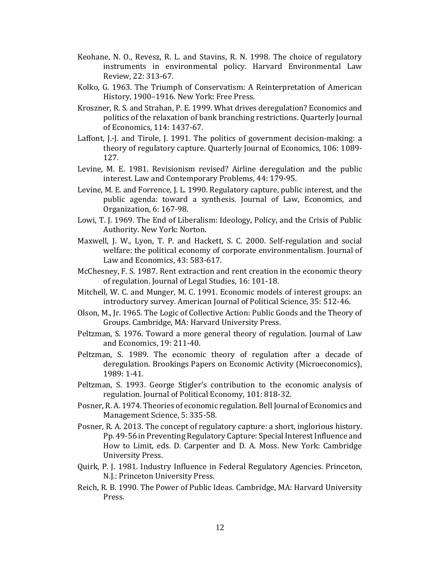- Keohane, N. O., Revesz, R. L. and Stavins, R. N. 1998. The choice of regulatory instruments in environmental policy. Harvard Environmental Law Review, 22: 313-67.
- Kolko, G. 1963. The Triumph of Conservatism: A Reinterpretation of American History, 1900–1916. New York: Free Press.
- Kroszner, R. S. and Strahan, P. E. 1999. What drives deregulation? Economics and politics of the relaxation of bank branching restrictions. Quarterly Journal of Economics, 114: 1437-67.
- Laffont, J.-J. and Tirole, J. 1991. The politics of government decision-making: a theory of regulatory capture. Quarterly Journal of Economics, 106: 1089- 127.
- Levine, M. E. 1981. Revisionism revised? Airline deregulation and the public interest. Law and Contemporary Problems, 44: 179-95.
- Levine, M. E. and Forrence, J. L. 1990. Regulatory capture, public interest, and the public agenda: toward a synthesis. Journal of Law, Economics, and Organization, 6: 167-98.
- Lowi, T. J. 1969. The End of Liberalism: Ideology, Policy, and the Crisis of Public Authority. New York: Norton.
- Maxwell, J. W., Lyon, T. P. and Hackett, S. C. 2000. Self-regulation and social welfare: the political economy of corporate environmentalism. Journal of Law and Economics, 43: 583-617.
- McChesney, F. S. 1987. Rent extraction and rent creation in the economic theory of regulation. Journal of Legal Studies, 16: 101-18.
- Mitchell, W. C. and Munger, M. C. 1991. Economic models of interest groups: an introductory survey. American Journal of Political Science, 35: 512-46.
- Olson, M., Jr. 1965. The Logic of Collective Action: Public Goods and the Theory of Groups. Cambridge, MA: Harvard University Press.
- Peltzman, S. 1976. Toward a more general theory of regulation. Journal of Law and Economics, 19: 211-40.
- Peltzman, S. 1989. The economic theory of regulation after a decade of deregulation. Brookings Papers on Economic Activity (Microeconomics), 1989: 1-41.
- Peltzman, S. 1993. George Stigler's contribution to the economic analysis of regulation. Journal of Political Economy, 101: 818-32.
- Posner, R. A. 1974. Theories of economic regulation. Bell Journal of Economics and Management Science, 5: 335-58.
- Posner, R. A. 2013. The concept of regulatory capture: a short, inglorious history. Pp. 49-56 in Preventing Regulatory Capture: Special Interest Influence and How to Limit, eds. D. Carpenter and D. A. Moss. New York: Cambridge University Press.
- Quirk, P. J. 1981. Industry Influence in Federal Regulatory Agencies. Princeton, N.J.: Princeton University Press.
- Reich, R. B. 1990. The Power of Public Ideas. Cambridge, MA: Harvard University Press.